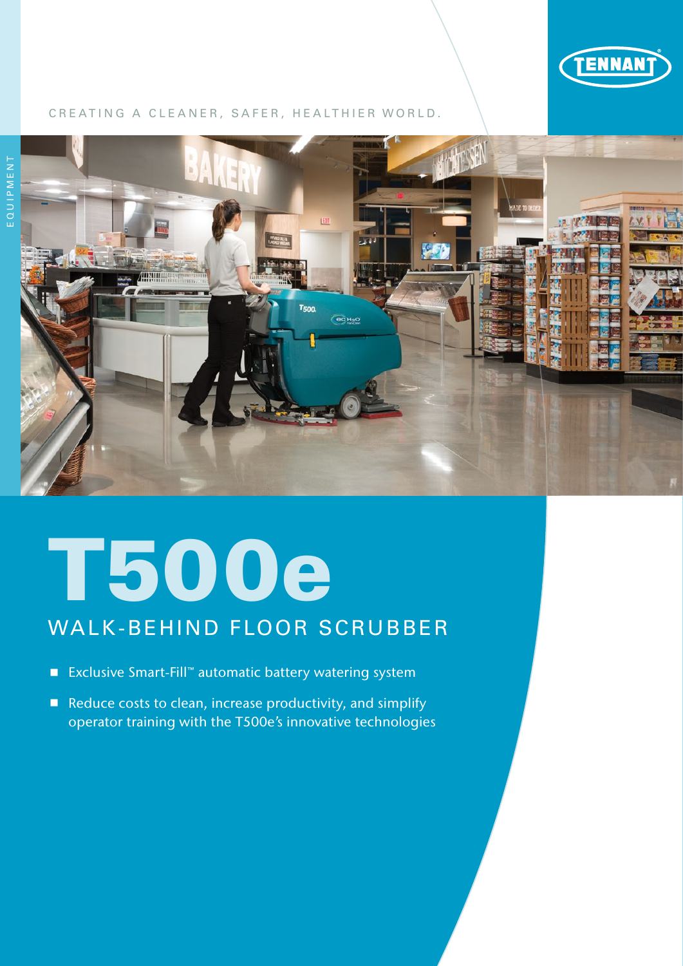

#### CREATING A CLEANER, SAFER, HEALTHIER WORLD.



## T500e

### WALK-BEHIND FLOOR SCRUBBER

- Exclusive Smart-Fill™ automatic battery watering system
- Reduce costs to clean, increase productivity, and simplify operator training with the T500e's innovative technologies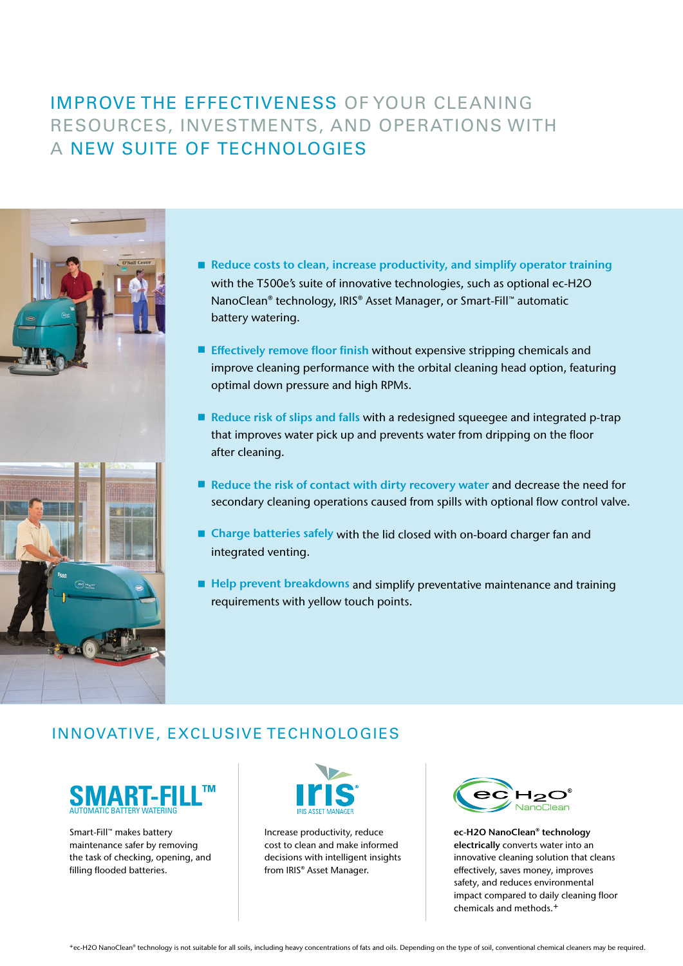#### IMPROVE THE EFFECTIVENESS OF YOUR CLEANING RESOURCES, INVESTMENTS, AND OPERATIONS WITH A NEW SUITE OF TECHNOLOGIES



- Reduce costs to clean, increase productivity, and simplify operator training with the T500e's suite of innovative technologies, such as optional ec-H2O NanoClean® technology, IRIS® Asset Manager, or Smart-Fill™ automatic battery watering.
- **Effectively remove floor finish without expensive stripping chemicals and** improve cleaning performance with the orbital cleaning head option, featuring optimal down pressure and high RPMs.
- Reduce risk of slips and falls with a redesigned squeegee and integrated p-trap that improves water pick up and prevents water from dripping on the floor after cleaning.
- Reduce the risk of contact with dirty recovery water and decrease the need for secondary cleaning operations caused from spills with optional flow control valve.
- Charge batteries safely with the lid closed with on-board charger fan and integrated venting.
- $\blacksquare$  Help prevent breakdowns and simplify preventative maintenance and training requirements with yellow touch points.

#### INNOVATIVE, EXCLUSIVE TECHNOLOGIES



Smart-Fill™ makes battery maintenance safer by removing the task of checking, opening, and filling flooded batteries.



Increase productivity, reduce cost to clean and make informed decisions with intelligent insights from IRIS® Asset Manager.



ec-H2O NanoClean® technology electrically converts water into an innovative cleaning solution that cleans effectively, saves money, improves safety, and reduces environmental impact compared to daily cleaning floor chemicals and methods.+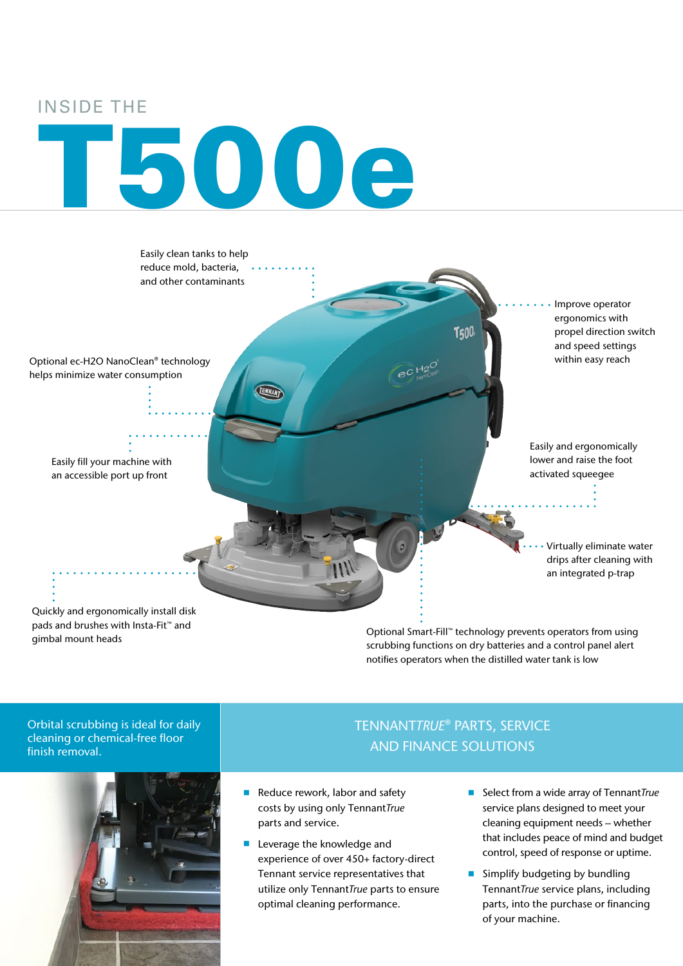#### INSIDE THE

# T500e



Optional Smart-Fill™ technology prevents operators from using scrubbing functions on dry batteries and a control panel alert notifies operators when the distilled water tank is low

Orbital scrubbing is ideal for daily cleaning or chemical-free floor finish removal.

gimbal mount heads



#### TENNANT*TRUE*® PARTS, SERVICE AND FINANCE SOLUTIONS

- Reduce rework, labor and safety costs by using only Tennant*True* parts and service.
- **Leverage the knowledge and** experience of over 450+ factory-direct Tennant service representatives that utilize only Tennant*True* parts to ensure optimal cleaning performance.
- Select from a wide array of Tennant*True* service plans designed to meet your cleaning equipment needs – whether that includes peace of mind and budget control, speed of response or uptime.
- **Simplify budgeting by bundling** Tennant*True* service plans, including parts, into the purchase or financing of your machine.